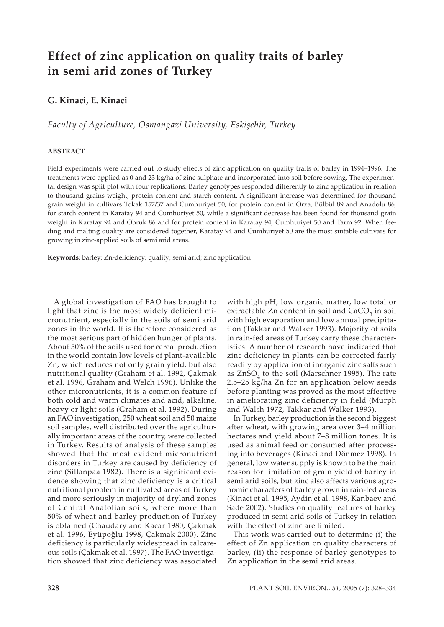# **Effect of zinc application on quality traits of barley in semi arid zones of Turkey**

# **G. Kinaci, E. Kinaci**

*Faculty of Agriculture, Osmangazi University, Eskişehir, Turkey*

#### **ABSTRACT**

Field experiments were carried out to study effects of zinc application on quality traits of barley in 1994–1996. The treatments were applied as 0 and 23 kg/ha of zinc sulphate and incorporated into soil before sowing. The experimental design was split plot with four replications. Barley genotypes responded differently to zinc application in relation to thousand grains weight, protein content and starch content. A significant increase was determined for thousand grain weight in cultivars Tokak 157/37 and Cumhuriyet 50, for protein content in Orza, Bülbül 89 and Anadolu 86, for starch content in Karatay 94 and Cumhuriyet 50, while a significant decrease has been found for thousand grain weight in Karatay 94 and Obruk 86 and for protein content in Karatay 94, Cumhuriyet 50 and Tarm 92. When feeding and malting quality are considered together, Karatay 94 and Cumhuriyet 50 are the most suitable cultivars for growing in zinc-applied soils of semi arid areas.

**Keywords:** barley; Zn-deficiency; quality; semi arid; zinc application

A global investigation of FAO has brought to light that zinc is the most widely deficient micronutrient, especially in the soils of semi arid zones in the world. It is therefore considered as the most serious part of hidden hunger of plants. About 50% of the soils used for cereal production in the world contain low levels of plant-available Zn, which reduces not only grain yield, but also nutritional quality (Graham et al. 1992, Çakmak et al. 1996, Graham and Welch 1996). Unlike the other micronutrients, it is a common feature of both cold and warm climates and acid, alkaline, heavy or light soils (Graham et al. 1992). During an FAO investigation, 250 wheat soil and 50 maize soil samples, well distributed over the agriculturally important areas of the country, were collected in Turkey. Results of analysis of these samples showed that the most evident micronutrient disorders in Turkey are caused by deficiency of zinc (Sillanpaa 1982). There is a significant evidence showing that zinc deficiency is a critical nutritional problem in cultivated areas of Turkey and more seriously in majority of dryland zones of Central Anatolian soils, where more than 50% of wheat and barley production of Turkey is obtained (Chaudary and Kacar 1980, Çakmak et al. 1996, Eyüpoğlu 1998, Çakmak 2000). Zinc deficiency is particularly widespread in calcareous soils (Çakmak et al. 1997). The FAO investigation showed that zinc deficiency was associated

with high pH, low organic matter, low total or extractable  $Zn$  content in soil and  $CaCO<sub>2</sub>$  in soil with high evaporation and low annual precipitation (Takkar and Walker 1993). Majority of soils in rain-fed areas of Turkey carry these characteristics. A number of research have indicated that zinc deficiency in plants can be corrected fairly readily by application of inorganic zinc salts such as ZnSO<sub>4</sub> to the soil (Marschner 1995). The rate 2.5–25 kg/ha Zn for an application below seeds before planting was proved as the most effective in ameliorating zinc deficiency in field (Murph and Walsh 1972, Takkar and Walker 1993).

In Turkey, barley production is the second biggest after wheat, with growing area over 3–4 million hectares and yield about 7–8 million tones. It is used as animal feed or consumed after processing into beverages (Kinaci and Dönmez 1998). In general, low water supply is known to be the main reason for limitation of grain yield of barley in semi arid soils, but zinc also affects various agronomic characters of barley grown in rain-fed areas (Kinaci et al. 1995, Aydin et al. 1998, Kanbaev and Sade 2002). Studies on quality features of barley produced in semi arid soils of Turkey in relation with the effect of zinc are limited.

This work was carried out to determine (i) the effect of Zn application on quality characters of barley, (ii) the response of barley genotypes to Zn application in the semi arid areas.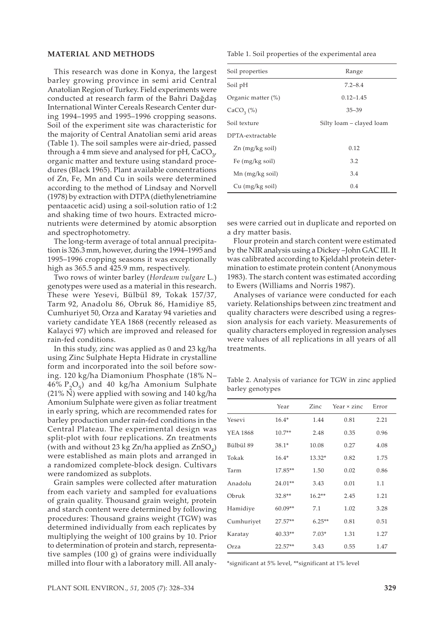#### **MATERIAL AND METHODS**

This research was done in Konya, the largest barley growing province in semi arid Central Anatolian Region of Turkey. Field experiments were conducted at research farm of the Bahri Dağdaş International Winter Cereals Research Center during 1994–1995 and 1995–1996 cropping seasons. Soil of the experiment site was characteristic for the majority of Central Anatolian semi arid areas (Table 1). The soil samples were air-dried, passed through a 4 mm sieve and analysed for pH,  $CaCO<sub>3</sub>$ , organic matter and texture using standard procedures (Black 1965). Plant available concentrations of Zn, Fe, Mn and Cu in soils were determined according to the method of Lindsay and Norvell (1978) by extraction with DTPA (diethylenetriamine pentaacetic acid) using a soil-solution ratio of 1:2 and shaking time of two hours. Extracted micronutrients were determined by atomic absorption and spectrophotometry.

The long-term average of total annual precipitation is 326.3 mm, however, during the 1994–1995 and 1995–1996 cropping seasons it was exceptionally high as 365.5 and 425.9 mm, respectively.

Two rows of winter barley (*Hordeum vulgare* L*.*) genotypes were used as a material in this research. These were Yesevi, Bülbül 89, Tokak 157/37, Tarm 92, Anadolu 86, Obruk 86, Hamidiye 85, Cumhuriyet 50, Orza and Karatay 94 varieties and variety candidate YEA 1868 (recently released as Kalayci 97) which are improved and released for rain-fed conditions.

In this study, zinc was applied as 0 and 23 kg/ha using Zinc Sulphate Hepta Hidrate in crystalline form and incorporated into the soil before sowing. 120 kg/ha Diamonium Phosphate (18% N–  $46\%$   $P_2O_5$ ) and  $40$  kg/ha Amonium Sulphate (21% N) were applied with sowing and 140 kg/ha Amonium Sulphate were given as foliar treatment in early spring, which are recommended rates for barley production under rain-fed conditions in the Central Plateau. The experimental design was split-plot with four replications. Zn treatments (with and without 23 kg Zn/ha applied as  $ZnSO<sub>4</sub>$ ) were established as main plots and arranged in a randomized complete-block design. Cultivars were randomized as subplots.

Grain samples were collected after maturation from each variety and sampled for evaluations of grain quality. Thousand grain weight, protein and starch content were determined by following procedures: Thousand grains weight (TGW) was determined individually from each replicates by multiplying the weight of 100 grains by 10. Prior to determination of protein and starch, representative samples (100 g) of grains were individually milled into flour with a laboratory mill. All analyTable 1. Soil properties of the experimental area

| Soil properties           | Range                    |  |  |  |  |  |
|---------------------------|--------------------------|--|--|--|--|--|
| Soil pH                   | $7.2 - 8.4$              |  |  |  |  |  |
| Organic matter (%)        | $0.12 - 1.45$            |  |  |  |  |  |
| $CaCO3(\%)$               | $35 - 39$                |  |  |  |  |  |
| Soil texture              | Silty loam – clayed loam |  |  |  |  |  |
| DPTA-extractable          |                          |  |  |  |  |  |
| $Zn$ (mg/kg soil)         | 0.12                     |  |  |  |  |  |
| Fe $(mg/kg \text{ soil})$ | 3.2                      |  |  |  |  |  |
| $Mn$ (mg/kg soil)         | 3.4                      |  |  |  |  |  |
| Cu (mg/kg soil)           | 0.4                      |  |  |  |  |  |

ses were carried out in duplicate and reported on a dry matter basis.

Flour protein and starch content were estimated by the NIR analysis using a Dickey –John GAC III. It was calibrated according to Kjeldahl protein determination to estimate protein content (Anonymous 1983). The starch content was estimated according to Ewers (Williams and Norris 1987).

Analyses of variance were conducted for each variety. Relationships between zinc treatment and quality characters were described using a regression analysis for each variety. Measurements of quality characters employed in regression analyses were values of all replications in all years of all treatments.

Table 2. Analysis of variance for TGW in zinc applied barley genotypes

|                 | Year      | Zinc     | Year $\times$ zinc | Error |  |
|-----------------|-----------|----------|--------------------|-------|--|
| Yesevi          | $16.4*$   | 1.44     | 0.81               | 2.21  |  |
| <b>YEA 1868</b> | $10.7**$  | 2.48     | 0.35               | 0.96  |  |
| Bülbül 89       | $38.1*$   | 10.08    | 0.27               | 4.08  |  |
| Tokak           | $16.4*$   | 13.32*   | 0.82               | 1.75  |  |
| Tarm            | 17.85**   | 1.50     | 0.02               | 0.86  |  |
| Anadolu         | 24.01**   | 3.43     | 0.01               | 1.1   |  |
| Obruk           | 32.8**    | $16.2**$ | 2.45               | 1.21  |  |
| Hamidiye        | 60.09**   | 7.1      | 1.02               | 3.28  |  |
| Cumhuriyet      | $27.57**$ | $6.25**$ | 0.81               | 0.51  |  |
| Karatay         | $40.33**$ | $7.03*$  | 1.31               | 1.27  |  |
| Orza            | $22.57**$ | 3.43     | 0.55               | 1.47  |  |

\*significant at 5% level, \*\*significant at 1% level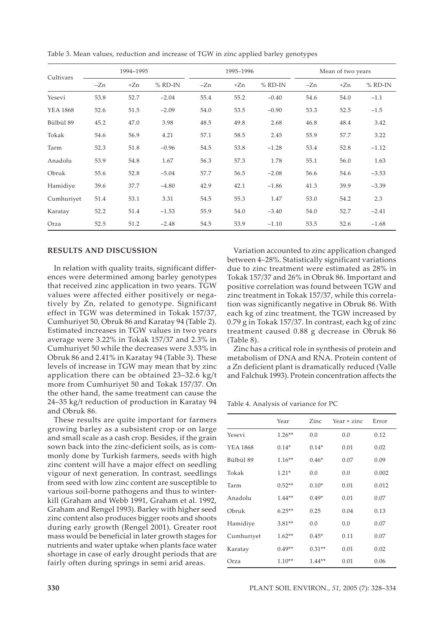| Cultivars       | 1994-1995 |       |           |       | 1995-1996 |         | Mean of two years |       |           |
|-----------------|-----------|-------|-----------|-------|-----------|---------|-------------------|-------|-----------|
|                 | $-Zn$     | $+Zn$ | $%$ RD-IN | $-Zn$ | $+Zn$     | % RD-IN | $-Zn$             | $+Zn$ | $%$ RD-IN |
| Yesevi          | 53.8      | 52.7  | $-2.04$   | 55.4  | 55.2      | $-0.40$ | 54.6              | 54.0  | $-1.1$    |
| <b>YEA 1868</b> | 52.6      | 51.5  | $-2.09$   | 54.0  | 53.5      | $-0.90$ | 53.3              | 52.5  | $-1.5$    |
| Bülbül 89       | 45.2      | 47.0  | 3.98      | 48.5  | 49.8      | 2.68    | 46.8              | 48.4  | 3.42      |
| Tokak           | 54.6      | 56.9  | 4.21      | 57.1  | 58.5      | 2.45    | 55.9              | 57.7  | 3.22      |
| Tarm            | 52.3      | 51.8  | $-0.96$   | 54.5  | 53.8      | $-1.28$ | 53.4              | 52.8  | $-1.12$   |
| Anadolu         | 53.9      | 54.8  | 1.67      | 56.3  | 57.3      | 1.78    | 55.1              | 56.0  | 1.63      |
| Obruk           | 55.6      | 52.8  | $-5.04$   | 57.7  | 56.5      | $-2.08$ | 56.6              | 54.6  | $-3.53$   |
| Hamidiye        | 39.6      | 37.7  | $-4.80$   | 42.9  | 42.1      | $-1.86$ | 41.3              | 39.9  | $-3.39$   |
| Cumhuriyet      | 51.4      | 53.1  | 3.31      | 54.5  | 55.3      | 1.47    | 53.0              | 54.2  | 2.3       |
| Karatay         | 52.2      | 51.4  | $-1.53$   | 55.9  | 54.0      | $-3.40$ | 54.0              | 52.7  | $-2.41$   |
| Orza            | 52.5      | 51.2  | $-2.48$   | 54.5  | 53.9      | $-1.10$ | 53.5              | 52.6  | $-1.68$   |

Table 3. Mean values, reduction and increase of TGW in zinc applied barley genotypes

#### **RESULTS AND DISCUSSION**

In relation with quality traits, significant differences were determined among barley genotypes that received zinc application in two years. TGW values were affected either positively or negatively by Zn, related to genotype. Significant effect in TGW was determined in Tokak 157/37, Cumhuriyet 50, Obruk 86 and Karatay 94 (Table 2). Estimated increases in TGW values in two years average were 3.22% in Tokak 157/37 and 2.3% in Cumhuriyet 50 while the decreases were 3.53% in Obruk 86 and 2.41% in Karatay 94 (Table 3). These levels of increase in TGW may mean that by zinc application there can be obtained 23–32.6 kg/t more from Cumhuriyet 50 and Tokak 157/37. On the other hand, the same treatment can cause the 24–35 kg/t reduction of production in Karatay 94 and Obruk 86.

These results are quite important for farmers growing barley as a subsistent crop or on large and small scale as a cash crop. Besides, if the grain sown back into the zinc-deficient soils, as is commonly done by Turkish farmers, seeds with high zinc content will have a major effect on seedling vigour of next generation. In contrast, seedlings from seed with low zinc content are susceptible to various soil-borne pathogens and thus to winterkill (Graham and Webb 1991, Graham et al. 1992, Graham and Rengel 1993). Barley with higher seed zinc content also produces bigger roots and shoots during early growth (Rengel 2001). Greater root mass would be beneficial in later growth stages for nutrients and water uptake when plants face water shortage in case of early drought periods that are fairly often during springs in semi arid areas.

Variation accounted to zinc application changed between 4–28%. Statistically significant variations due to zinc treatment were estimated as 28% in Tokak 157/37 and 26% in Obruk 86. Important and positive correlation was found between TGW and zinc treatment in Tokak 157/37, while this correlation was significantly negative in Obruk 86. With each kg of zinc treatment, the TGW increased by 0.79 g in Tokak 157/37. In contrast, each kg of zinc treatment caused 0.88 g decrease in Obruk 86 (Table 8).

Zinc has a critical role in synthesis of protein and metabolism of DNA and RNA. Protein content of a Zn deficient plant is dramatically reduced (Valle and Falchuk 1993). Protein concentration affects the

Table 4. Analysis of variance for PC

|                 | Year     | Zinc     | Year $\times$ zinc | Error |
|-----------------|----------|----------|--------------------|-------|
| Yesevi          | $1.26**$ | 0.0      | 0.0                | 0.12  |
| <b>YEA 1868</b> | $0.14*$  | $0.14*$  | 0.01               | 0.02  |
| Bülbül 89       | $1.16**$ | $0.46*$  | 0.07               | 0.09  |
| Tokak           | $1.21*$  | 0.0      | 0.0                | 0.002 |
| Tarm            | $0.52**$ | $0.10*$  | 0.01               | 0.012 |
| Anadolu         | $1.44**$ | $0.49*$  | 0.01               | 0.07  |
| Obruk           | $6.25**$ | 0.25     | 0.04               | 0.13  |
| Hamidiye        | $3.81**$ | 0.0      | 0.0                | 0.07  |
| Cumhuriyet      | $1.62**$ | $0.45*$  | 0.11               | 0.07  |
| Karatay         | $0.49**$ | $0.31**$ | 0.01               | 0.02  |
| Orza            | $1.10**$ | $1.44**$ | 0.01               | 0.06  |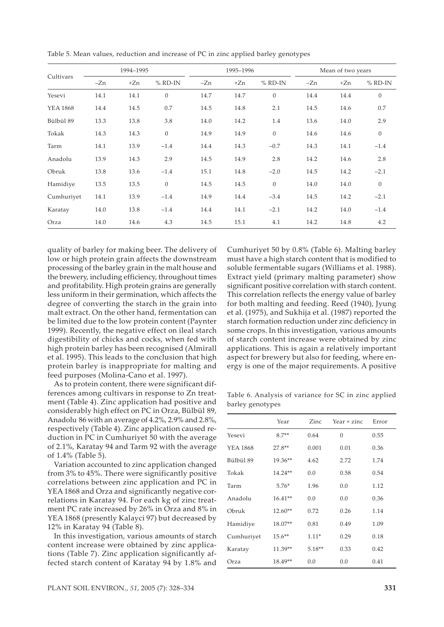| Cultivars       | 1994-1995 |       |                |       | 1995-1996 |           | Mean of two years |       |                  |
|-----------------|-----------|-------|----------------|-------|-----------|-----------|-------------------|-------|------------------|
|                 | $-Zn$     | $+Zn$ | $%$ RD-IN      | $-Zn$ | $+Zn$     | $%$ RD-IN | $-Zn$             | $+Zn$ | $%$ RD-IN        |
| Yesevi          | 14.1      | 14.1  | $\overline{0}$ | 14.7  | 14.7      | $\theta$  | 14.4              | 14.4  | $\theta$         |
| <b>YEA 1868</b> | 14.4      | 14.5  | 0.7            | 14.5  | 14.8      | 2.1       | 14.5              | 14.6  | 0.7              |
| Bülbül 89       | 13.3      | 13.8  | 3.8            | 14.0  | 14.2      | 1.4       | 13.6              | 14.0  | 2.9              |
| Tokak           | 14.3      | 14.3  | $\overline{0}$ | 14.9  | 14.9      | $\theta$  | 14.6              | 14.6  | $\boldsymbol{0}$ |
| Tarm            | 14.1      | 13.9  | $-1.4$         | 14.4  | 14.3      | $-0.7$    | 14.3              | 14.1  | $-1.4$           |
| Anadolu         | 13.9      | 14.3  | 2.9            | 14.5  | 14.9      | 2.8       | 14.2              | 14.6  | 2.8              |
| Obruk           | 13.8      | 13.6  | $-1.4$         | 15.1  | 14.8      | $-2.0$    | 14.5              | 14.2  | $-2.1$           |
| Hamidiye        | 13.5      | 13.5  | $\overline{0}$ | 14.5  | 14.5      | $\theta$  | 14.0              | 14.0  | $\mathbf{0}$     |
| Cumhuriyet      | 14.1      | 13.9  | $-1.4$         | 14.9  | 14.4      | $-3.4$    | 14.5              | 14.2  | $-2.1$           |
| Karatay         | 14.0      | 13.8  | $-1.4$         | 14.4  | 14.1      | $-2.1$    | 14.2              | 14.0  | $-1.4$           |
| Orza            | 14.0      | 14.6  | 4.3            | 14.5  | 15.1      | 4.1       | 14.2              | 14.8  | 4.2              |

Table 5. Mean values, reduction and increase of PC in zinc applied barley genotypes

quality of barley for making beer. The delivery of low or high protein grain affects the downstream processing of the barley grain in the malt house and the brewery, including efficiency, throughout times and profitability. High protein grains are generally less uniform in their germination, which affects the degree of converting the starch in the grain into malt extract. On the other hand, fermentation can be limited due to the low protein content (Paynter 1999). Recently, the negative effect on ileal starch digestibility of chicks and cocks, when fed with high protein barley has been recognised (Almirall et al. 1995). This leads to the conclusion that high protein barley is inappropriate for malting and feed purposes (Molina-Cano et al. 1997).

As to protein content, there were significant differences among cultivars in response to Zn treatment (Table 4). Zinc application had positive and considerably high effect on PC in Orza, Bülbül 89, Anadolu 86 with an average of 4.2%, 2.9% and 2.8%, respectively (Table 4). Zinc application caused reduction in PC in Cumhuriyet 50 with the average of 2.1%, Karatay 94 and Tarm 92 with the average of 1.4% (Table 5).

Variation accounted to zinc application changed from 3% to 45%. There were significantly positive correlations between zinc application and PC in YEA 1868 and Orza and significantly negative correlations in Karatay 94. For each kg of zinc treatment PC rate increased by 26% in Orza and 8% in YEA 1868 (presently Kalayci 97) but decreased by 12% in Karatay 94 (Table 8).

In this investigation, various amounts of starch content increase were obtained by zinc applications (Table 7). Zinc application significantly affected starch content of Karatay 94 by 1.8% and Cumhuriyet 50 by 0.8% (Table 6). Malting barley must have a high starch content that is modified to soluble fermentable sugars (Williams et al. 1988). Extract yield (primary malting parameter) show significant positive correlation with starch content. This correlation reflects the energy value of barley for both malting and feeding. Reed (1940), Jyung et al. (1975), and Sukhija et al. (1987) reported the starch formation reduction under zinc deficiency in some crops. In this investigation, various amounts of starch content increase were obtained by zinc applications. This is again a relatively important aspect for brewery but also for feeding, where energy is one of the major requirements. A positive

Table 6. Analysis of variance for SC in zinc applied barley genotypes

|                 | Year      | Zinc     | Year × zinc | Error |
|-----------------|-----------|----------|-------------|-------|
| Yesevi          | $8.7**$   | 0.64     | $\Omega$    | 0.55  |
| <b>YEA 1868</b> | 27.8**    | 0.001    | 0.01        | 0.36  |
| Bülbül 89       | 19.36**   | 4.62     | 2.72        | 1.74  |
| Tokak           | 14.24**   | 0.0      | 0.58        | 0.54  |
| Tarm            | $5.76*$   | 1.96     | 0.0         | 1.12  |
| Anadolu         | $16.41**$ | 0.0      | 0.0         | 0.36  |
| Obruk           | $12.60**$ | 0.72     | 0.26        | 1.14  |
| Hamidiye        | 18.07**   | 0.81     | 0.49        | 1.09  |
| Cumhuriyet      | $15.6**$  | $1.11*$  | 0.29        | 0.18  |
| Karatay         | 11.39**   | $5.18**$ | 0.33        | 0.42  |
| Orza            | 18.49**   | 0.0      | 0.0         | 0.41  |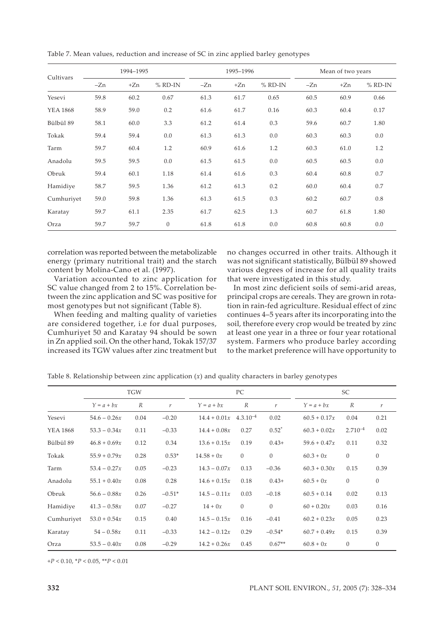| Cultivars       | 1994-1995 |       |           |       | 1995-1996 |           | Mean of two years |       |           |
|-----------------|-----------|-------|-----------|-------|-----------|-----------|-------------------|-------|-----------|
|                 | $-Zn$     | $+Zn$ | $%$ RD-IN | $-Zn$ | $+Zn$     | $%$ RD-IN | -Zn               | $+Zn$ | $%$ RD-IN |
| Yesevi          | 59.8      | 60.2  | 0.67      | 61.3  | 61.7      | 0.65      | 60.5              | 60.9  | 0.66      |
| <b>YEA 1868</b> | 58.9      | 59.0  | 0.2       | 61.6  | 61.7      | 0.16      | 60.3              | 60.4  | 0.17      |
| Bülbül 89       | 58.1      | 60.0  | 3.3       | 61.2  | 61.4      | 0.3       | 59.6              | 60.7  | 1.80      |
| Tokak           | 59.4      | 59.4  | 0.0       | 61.3  | 61.3      | 0.0       | 60.3              | 60.3  | 0.0       |
| Tarm            | 59.7      | 60.4  | 1.2       | 60.9  | 61.6      | 1.2       | 60.3              | 61.0  | 1.2       |
| Anadolu         | 59.5      | 59.5  | 0.0       | 61.5  | 61.5      | 0.0       | 60.5              | 60.5  | 0.0       |
| Obruk           | 59.4      | 60.1  | 1.18      | 61.4  | 61.6      | 0.3       | 60.4              | 60.8  | 0.7       |
| Hamidiye        | 58.7      | 59.5  | 1.36      | 61.2  | 61.3      | 0.2       | 60.0              | 60.4  | 0.7       |
| Cumhuriyet      | 59.0      | 59.8  | 1.36      | 61.3  | 61.5      | 0.3       | 60.2              | 60.7  | 0.8       |
| Karatay         | 59.7      | 61.1  | 2.35      | 61.7  | 62.5      | 1.3       | 60.7              | 61.8  | 1.80      |
| Orza            | 59.7      | 59.7  | $\theta$  | 61.8  | 61.8      | 0.0       | 60.8              | 60.8  | 0.0       |

Table 7. Mean values, reduction and increase of SC in zinc applied barley genotypes

correlation was reported between the metabolizable energy (primary nutritional trait) and the starch content by Molina-Cano et al. (1997).

Variation accounted to zinc application for SC value changed from 2 to 15%. Correlation between the zinc application and SC was positive for most genotypes but not significant (Table 8).

When feeding and malting quality of varieties are considered together, i.e for dual purposes, Cumhuriyet 50 and Karatay 94 should be sown in Zn applied soil. On the other hand, Tokak 157/37 increased its TGW values after zinc treatment but no changes occurred in other traits. Although it was not significant statistically, Bülbül 89 showed various degrees of increase for all quality traits that were investigated in this study.

In most zinc deficient soils of semi-arid areas, principal crops are cereals. They are grown in rotation in rain-fed agriculture. Residual effect of zinc continues 4–5 years after its incorporating into the soil, therefore every crop would be treated by zinc at least one year in a three or four year rotational system. Farmers who produce barley according to the market preference will have opportunity to

|                 | <b>TGW</b>     |                  |                  | PC.                                 |                  |               | SC             |              |                  |  |
|-----------------|----------------|------------------|------------------|-------------------------------------|------------------|---------------|----------------|--------------|------------------|--|
|                 | $Y = a + bx$   | $\boldsymbol{R}$ | $\boldsymbol{r}$ | $Y = a + bx$                        | $\boldsymbol{R}$ | $\mathcal{V}$ | $Y = a + bx$   | R            | r                |  |
| Yesevi          | $54.6 - 0.26x$ | 0.04             | $-0.20$          | $14.4 + 0.01x$ 4.3.10 <sup>-4</sup> |                  | 0.02          | $60.5 + 0.17x$ | 0.04         | 0.21             |  |
| <b>YEA 1868</b> | $53.3 - 0.34x$ | 0.11             | $-0.33$          | $14.4 + 0.08x$                      | 0.27             | $0.52^*$      | $60.3 + 0.02x$ | $2.710^{-4}$ | 0.02             |  |
| Bülbül 89       | $46.8 + 0.69x$ | 0.12             | 0.34             | $13.6 + 0.15x$                      | 0.19             | $0.43+$       | $59.6 + 0.47x$ | 0.11         | 0.32             |  |
| Tokak           | $55.9 + 0.79x$ | 0.28             | $0.53*$          | $14.58 + 0x$                        | $\mathbf{0}$     | $\mathbf{0}$  | $60.3 + 0x$    | $\mathbf{0}$ | $\boldsymbol{0}$ |  |
| Tarm            | $53.4 - 0.27x$ | 0.05             | $-0.23$          | $14.3 - 0.07x$                      | 0.13             | $-0.36$       | $60.3 + 0.30x$ | 0.15         | 0.39             |  |
| Anadolu         | $55.1 + 0.40x$ | 0.08             | 0.28             | $14.6 + 0.15x$                      | 0.18             | $0.43+$       | $60.5 + 0x$    | $\mathbf{0}$ | $\theta$         |  |
| Obruk           | $56.6 - 0.88x$ | 0.26             | $-0.51*$         | $14.5 - 0.11x$                      | 0.03             | $-0.18$       | $60.5 + 0.14$  | 0.02         | 0.13             |  |
| Hamidiye        | $41.3 - 0.58x$ | 0.07             | $-0.27$          | $14 + 0x$                           | $\mathbf{0}$     | $\mathbf{0}$  | $60 + 0.20x$   | 0.03         | 0.16             |  |
| Cumhuriyet      | $53.0 + 0.54x$ | 0.15             | 0.40             | $14.5 - 0.15x$                      | 0.16             | $-0.41$       | $60.2 + 0.23x$ | 0.05         | 0.23             |  |
| Karatay         | $54 - 0.58x$   | 0.11             | $-0.33$          | $14.2 - 0.12x$                      | 0.29             | $-0.54*$      | $60.7 + 0.49x$ | 0.15         | 0.39             |  |
| Orza            | $53.5 - 0.40x$ | 0.08             | $-0.29$          | $14.2 + 0.26x$                      | 0.45             | $0.67**$      | $60.8 + 0x$    | $\mathbf{0}$ | $\theta$         |  |

Table 8. Relationship between zinc application (*x*) and quality characters in barley genotypes

+*P* < 0.10, \**P* < 0.05, \*\**P* < 0.01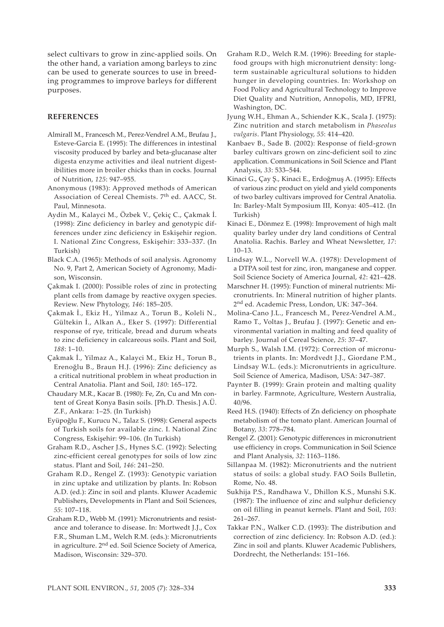select cultivars to grow in zinc-applied soils. On the other hand, a variation among barleys to zinc can be used to generate sources to use in breeding programmes to improve barleys for different purposes.

### **REFERENCES**

- Almirall M., Francesch M., Perez-Vendrel A.M., Brufau J., Esteve-Garcia E. (1995): The differences in intestinal viscosity produced by barley and beta-glucanase alter digesta enzyme activities and ileal nutrient digestibilities more in broiler chicks than in cocks. Journal of Nutrition, *125*: 947–955.
- Anonymous (1983): Approved methods of American Association of Cereal Chemists. 7<sup>th</sup> ed. AACC, St. Paul, Minnesota.
- Aydin M., Kalayci M., Özbek V., Çekiç C., Çakmak İ. (1998): Zinc deficiency in barley and genotypic differences under zinc deficiency in Eskişehir region. I. National Zinc Congress, Eskişehir: 333–337. (In Turkish)
- Black C.A. (1965): Methods of soil analysis. Agronomy No. 9, Part 2, American Society of Agronomy, Madison, Wisconsin.
- Çakmak I. (2000): Possible roles of zinc in protecting plant cells from damage by reactive oxygen species. Review. New Phytology, *146*: 185–205.
- Çakmak İ., Ekiz H., Yilmaz A., Torun B., Koleli N., Gültekin İ., Alkan A., Eker S. (1997): Differential response of rye, triticale, bread and durum wheats to zinc deficiency in calcareous soils. Plant and Soil, *188*: 1–10.
- Çakmak İ., Yilmaz A., Kalayci M., Ekiz H., Torun B., Erenoğlu B., Braun H.J. (1996): Zinc deficiency as a critical nutritional problem in wheat production in Central Anatolia. Plant and Soil, *180*: 165–172.
- Chaudary M.R., Kacar B. (1980): Fe, Zn, Cu and Mn content of Great Konya Basin soils. [Ph.D. Thesis.] A.Ü. Z.F., Ankara: 1–25. (In Turkish)
- Eyüpoğlu F., Kurucu N., Talaz S. (1998): General aspects of Turkish soils for available zinc. I. National Zinc Congress, Eskişehir: 99–106. (In Turkish)
- Graham R.D., Ascher J.S., Hynes S.C. (1992): Selecting zinc-efficient cereal genotypes for soils of low zinc status. Plant and Soil, *146*: 241–250.
- Graham R.D., Rengel Z. (1993): Genotypic variation in zinc uptake and utilization by plants. In: Robson A.D. (ed.): Zinc in soil and plants. Kluwer Academic Publishers, Developments in Plant and Soil Sciences, *55*: 107–118.
- Graham R.D., Webb M. (1991): Micronutrients and resistance and tolerance to disease. In: Mortwedt J.J., Cox F.R., Shuman L.M., Welch R.M. (eds.): Micronutrients in agriculture. 2nd ed. Soil Science Society of America, Madison, Wisconsin: 329–370.
- Graham R.D., Welch R.M. (1996): Breeding for staplefood groups with high micronutrient density: longterm sustainable agricultural solutions to hidden hunger in developing countries. In: Workshop on Food Policy and Agricultural Technology to Improve Diet Quality and Nutrition, Annopolis, MD, IFPRI, Washington, DC.
- Jyung W.H., Ehman A., Schiender K.K., Scala J. (1975): Zinc nutrition and starch metabolism in *Phaseolus vulgaris*. Plant Physiology, *55*: 414–420.
- Kanbaev B., Sade B. (2002): Response of field-grown barley cultivars grown on zinc-deficient soil to zinc application. Communications in Soil Science and Plant Analysis, *33*: 533–544.
- Kinaci G., Çay Ş., Kinaci E., Erdoğmuş A. (1995): Effects of various zinc product on yield and yield components of two barley cultivars improved for Central Anatolia. In: Barley-Malt Symposium III, Konya: 405–412. (In Turkish)
- Kinaci E., Dönmez E. (1998): Improvement of high malt quality barley under dry land conditions of Central Anatolia. Rachis. Barley and Wheat Newsletter, *17*: 10–13.
- Lindsay W.L., Norvell W.A. (1978): Development of a DTPA soil test for zinc, iron, manganese and copper. Soil Science Society of America Journal, *42*: 421–428.
- Marschner H. (1995): Function of mineral nutrients: Micronutrients. In: Mineral nutrition of higher plants. 2nd ed. Academic Press, London, UK: 347–364.
- Molina-Cano J.L., Francesch M., Perez-Vendrel A.M., Ramo T., Voltas J., Brufau J. (1997): Genetic and environmental variation in malting and feed quality of barley. Journal of Cereal Science, *25*: 37–47.
- Murph S., Walsh I.M. (1972): Correction of micronutrients in plants. In: Mordvedt J.J., Giordane P.M., Lindsay W.L. (eds.): Micronutrients in agriculture. Soil Science of America, Madison, USA: 347–387.
- Paynter B. (1999): Grain protein and malting quality in barley. Farmnote, Agriculture, Western Australia, 40/96.
- Reed H.S. (1940): Effects of Zn deficiency on phosphate metabolism of the tomato plant. American Journal of Botany, *33*: 778–784.
- Rengel Z. (2001): Genotypic differences in micronutrient use efficiency in crops. Communication in Soil Science and Plant Analysis, *32*: 1163–1186.
- Sillanpaa M. (1982): Micronutrients and the nutrient status of soils: a global study. FAO Soils Bulletin, Rome, No. 48.
- Sukhija P.S., Randhawa V., Dhillon K.S., Munshi S.K. (1987): The influence of zinc and sulphur deficiency on oil filling in peanut kernels. Plant and Soil, *103*: 261–267.
- Takkar P.N., Walker C.D. (1993): The distribution and correction of zinc deficiency. In: Robson A.D. (ed.): Zinc in soil and plants. Kluwer Academic Publishers, Dordrecht, the Netherlands: 151–166.